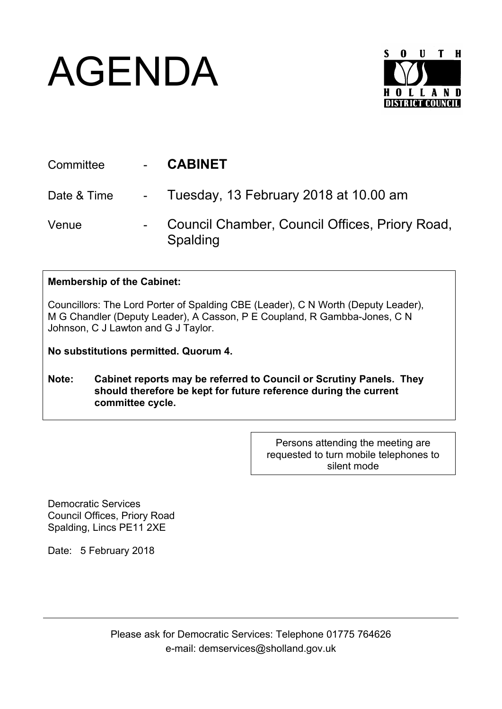## AGENDA



| Committee   | <b>CABINET</b>                                             |
|-------------|------------------------------------------------------------|
| Date & Time | - Tuesday, 13 February 2018 at 10.00 am                    |
| Venue       | Council Chamber, Council Offices, Priory Road,<br>Spalding |

## **Membership of the Cabinet:**

Councillors: The Lord Porter of Spalding CBE (Leader), C N Worth (Deputy Leader), M G Chandler (Deputy Leader), A Casson, P E Coupland, R Gambba-Jones, C N Johnson, C J Lawton and G J Taylor.

**No substitutions permitted. Quorum 4.**

**Note: Cabinet reports may be referred to Council or Scrutiny Panels. They should therefore be kept for future reference during the current committee cycle.** 

> Persons attending the meeting are requested to turn mobile telephones to silent mode

Democratic Services Council Offices, Priory Road Spalding, Lincs PE11 2XE

Date: 5 February 2018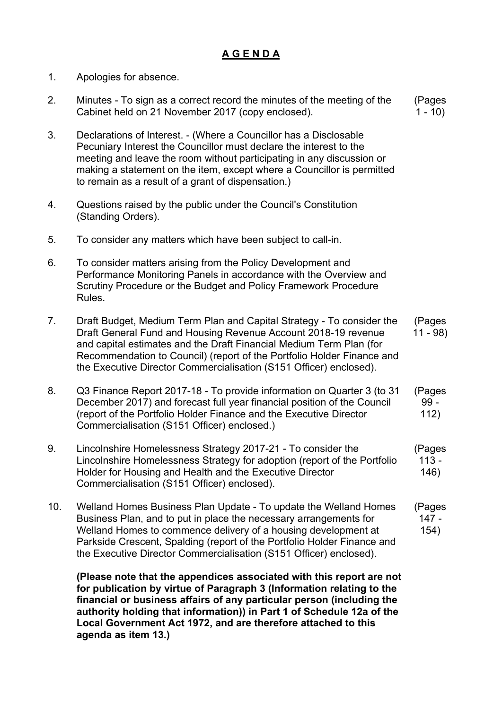## **A G E N D A**

- 1. Apologies for absence.
- 2. Minutes To sign as a correct record the minutes of the meeting of the Cabinet held on 21 November 2017 (copy enclosed). (Pages  $1 - 10$
- 3. Declarations of Interest. (Where a Councillor has a Disclosable Pecuniary Interest the Councillor must declare the interest to the meeting and leave the room without participating in any discussion or making a statement on the item, except where a Councillor is permitted to remain as a result of a grant of dispensation.)
- 4. Questions raised by the public under the Council's Constitution (Standing Orders).
- 5. To consider any matters which have been subject to call-in.
- 6. To consider matters arising from the Policy Development and Performance Monitoring Panels in accordance with the Overview and Scrutiny Procedure or the Budget and Policy Framework Procedure Rules.
- 7. Draft Budget, Medium Term Plan and Capital Strategy To consider the Draft General Fund and Housing Revenue Account 2018-19 revenue and capital estimates and the Draft Financial Medium Term Plan (for Recommendation to Council) (report of the Portfolio Holder Finance and the Executive Director Commercialisation (S151 Officer) enclosed). (Pages 11 - 98)
- 8. Q3 Finance Report 2017-18 To provide information on Quarter 3 (to 31 December 2017) and forecast full year financial position of the Council (report of the Portfolio Holder Finance and the Executive Director Commercialisation (S151 Officer) enclosed.) (Pages 99 - 112)
- 9. Lincolnshire Homelessness Strategy 2017-21 To consider the Lincolnshire Homelessness Strategy for adoption (report of the Portfolio Holder for Housing and Health and the Executive Director Commercialisation (S151 Officer) enclosed). (Pages  $113 -$ 146)
- 10. Welland Homes Business Plan Update To update the Welland Homes Business Plan, and to put in place the necessary arrangements for Welland Homes to commence delivery of a housing development at Parkside Crescent, Spalding (report of the Portfolio Holder Finance and the Executive Director Commercialisation (S151 Officer) enclosed). (Pages 147 - 154)

**(Please note that the appendices associated with this report are not for publication by virtue of Paragraph 3 (Information relating to the financial or business affairs of any particular person (including the authority holding that information)) in Part 1 of Schedule 12a of the Local Government Act 1972, and are therefore attached to this agenda as item 13.)**